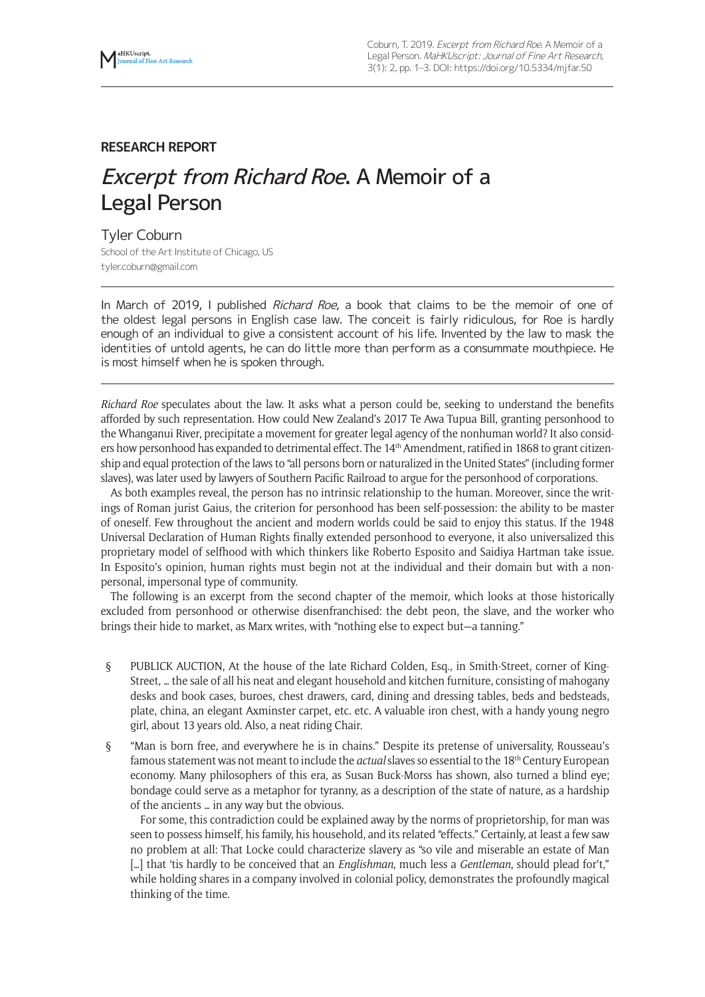

# **RESEARCH REPORT**

# Excerpt from Richard Roe. A Memoir of a Legal Person

#### Tyler Coburn

School of the Art Institute of Chicago, US tyler.coburn@gmail.com

In March of 2019, I published *Richard Roe*, a book that claims to be the memoir of one of the oldest legal persons in English case law. The conceit is fairly ridiculous, for Roe is hardly enough of an individual to give a consistent account of his life. Invented by the law to mask the identities of untold agents, he can do little more than perform as a consummate mouthpiece. He is most himself when he is spoken through.

*Richard Roe* speculates about the law. It asks what a person could be, seeking to understand the benefits afforded by such representation. How could New Zealand's 2017 Te Awa Tupua Bill, granting personhood to the Whanganui River, precipitate a movement for greater legal agency of the nonhuman world? It also considers how personhood has expanded to detrimental effect. The 14<sup>th</sup> Amendment, ratified in 1868 to grant citizenship and equal protection of the laws to "all persons born or naturalized in the United States" (including former slaves), was later used by lawyers of Southern Pacific Railroad to argue for the personhood of corporations.

As both examples reveal, the person has no intrinsic relationship to the human. Moreover, since the writings of Roman jurist Gaius, the criterion for personhood has been self-possession: the ability to be master of oneself. Few throughout the ancient and modern worlds could be said to enjoy this status. If the 1948 Universal Declaration of Human Rights finally extended personhood to everyone, it also universalized this proprietary model of selfhood with which thinkers like Roberto Esposito and Saidiya Hartman take issue. In Esposito's opinion, human rights must begin not at the individual and their domain but with a nonpersonal, impersonal type of community.

The following is an excerpt from the second chapter of the memoir, which looks at those historically excluded from personhood or otherwise disenfranchised: the debt peon, the slave, and the worker who brings their hide to market, as Marx writes, with "nothing else to expect but—a tanning."

- § PUBLICK AUCTION, At the house of the late Richard Colden, Esq., in Smith-Street, corner of King-Street, … the sale of all his neat and elegant household and kitchen furniture, consisting of mahogany desks and book cases, buroes, chest drawers, card, dining and dressing tables, beds and bedsteads, plate, china, an elegant Axminster carpet, etc. etc. A valuable iron chest, with a handy young negro girl, about 13 years old. Also, a neat riding Chair.
- § "Man is born free, and everywhere he is in chains." Despite its pretense of universality, Rousseau's famous statement was not meant to include the *actual* slaves so essential to the 18th Century European economy. Many philosophers of this era, as Susan Buck-Morss has shown, also turned a blind eye; bondage could serve as a metaphor for tyranny, as a description of the state of nature, as a hardship of the ancients … in any way but the obvious.

For some, this contradiction could be explained away by the norms of proprietorship, for man was seen to possess himself, his family, his household, and its related "effects." Certainly, at least a few saw no problem at all: That Locke could characterize slavery as "so vile and miserable an estate of Man […] that 'tis hardly to be conceived that an *Englishman*, much less a *Gentleman*, should plead for't," while holding shares in a company involved in colonial policy, demonstrates the profoundly magical thinking of the time.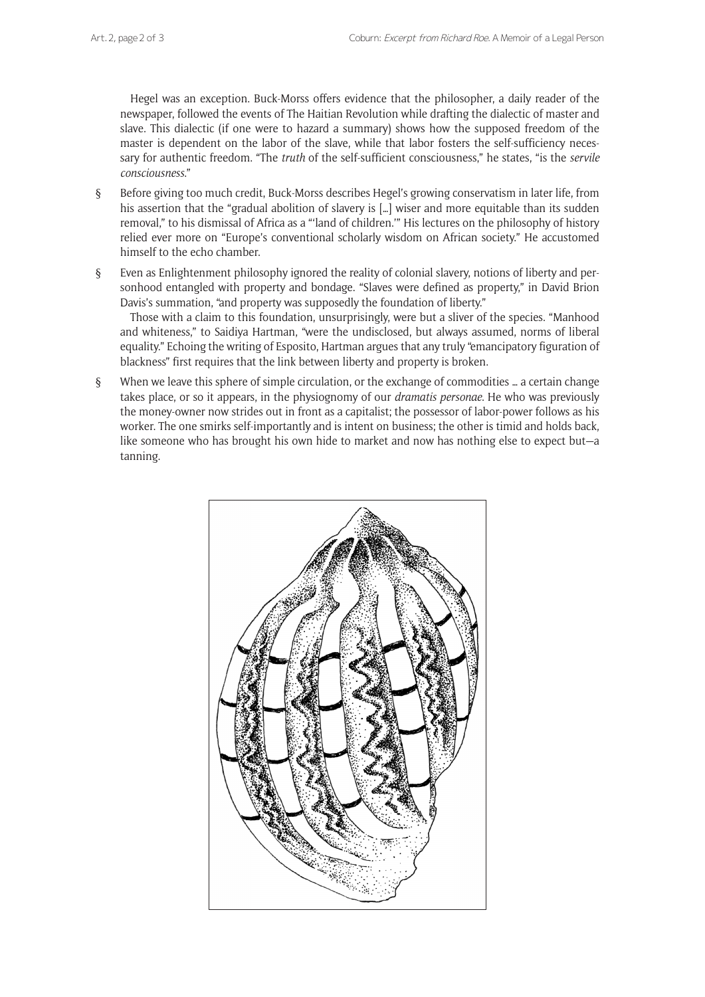Hegel was an exception. Buck-Morss offers evidence that the philosopher, a daily reader of the newspaper, followed the events of The Haitian Revolution while drafting the dialectic of master and slave. This dialectic (if one were to hazard a summary) shows how the supposed freedom of the master is dependent on the labor of the slave, while that labor fosters the self-sufficiency necessary for authentic freedom. "The *truth* of the self-sufficient consciousness," he states, "is the *servile consciousness*."

- § Before giving too much credit, Buck-Morss describes Hegel's growing conservatism in later life, from his assertion that the "gradual abolition of slavery is [...] wiser and more equitable than its sudden removal," to his dismissal of Africa as a "'land of children.'" His lectures on the philosophy of history relied ever more on "Europe's conventional scholarly wisdom on African society." He accustomed himself to the echo chamber.
- § Even as Enlightenment philosophy ignored the reality of colonial slavery, notions of liberty and personhood entangled with property and bondage. "Slaves were defined as property," in David Brion Davis's summation, "and property was supposedly the foundation of liberty."

Those with a claim to this foundation, unsurprisingly, were but a sliver of the species. "Manhood and whiteness," to Saidiya Hartman, "were the undisclosed, but always assumed, norms of liberal equality." Echoing the writing of Esposito, Hartman argues that any truly "emancipatory figuration of blackness" first requires that the link between liberty and property is broken.

§ When we leave this sphere of simple circulation, or the exchange of commodities … a certain change takes place, or so it appears, in the physiognomy of our *dramatis personae*. He who was previously the money-owner now strides out in front as a capitalist; the possessor of labor-power follows as his worker. The one smirks self-importantly and is intent on business; the other is timid and holds back, like someone who has brought his own hide to market and now has nothing else to expect but—a tanning.